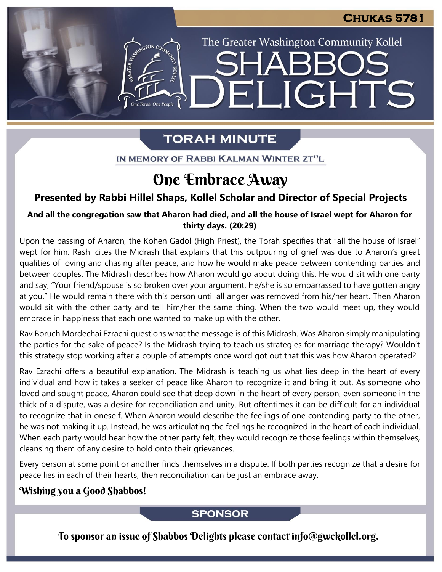The Greater Washington Community Kollel

ELIGHTS

## **TORAH MINUTE**

EMERGION CON

IN MEMORY OF RABBI KALMAN WINTER ZT"L

## One Embrace Away

## **Presented by Rabbi Hillel Shaps, Kollel Scholar and Director of Special Projects**

## And all the congregation saw that Aharon had died, and all the house of Israel wept for Aharon for **thirty days. (20:29)**

Upon the passing of Aharon, the Kohen Gadol (High Priest), the Torah specifies that "all the house of Israel" wept for him. Rashi cites the Midrash that explains that this outpouring of grief was due to Aharon's great qualities of loving and chasing after peace, and how he would make peace between contending parties and between couples. The Midrash describes how Aharon would go about doing this. He would sit with one party and say, "Your friend/spouse is so broken over your argument. He/she is so embarrassed to have gotten angry at you." He would remain there with this person until all anger was removed from his/her heart. Then Aharon would sit with the other party and tell him/her the same thing. When the two would meet up, they would embrace in happiness that each one wanted to make up with the other.

Rav Boruch Mordechai Ezrachi questions what the message is of this Midrash. Was Aharon simply manipulating the parties for the sake of peace? Is the Midrash trying to teach us strategies for marriage therapy? Wouldn't this strategy stop working after a couple of attempts once word got out that this was how Aharon operated?

Rav Ezrachi offers a beautiful explanation. The Midrash is teaching us what lies deep in the heart of every individual and how it takes a seeker of peace like Aharon to recognize it and bring it out. As someone who loved and sought peace, Aharon could see that deep down in the heart of every person, even someone in the thick of a dispute, was a desire for reconciliation and unity. But oftentimes it can be difficult for an individual to recognize that in oneself. When Aharon would describe the feelings of one contending party to the other, he was not making it up. Instead, he was articulating the feelings he recognized in the heart of each individual. When each party would hear how the other party felt, they would recognize those feelings within themselves, cleansing them of any desire to hold onto their grievances.

Every person at some point or another finds themselves in a dispute. If both parties recognize that a desire for peace lies in each of their hearts, then reconciliation can be just an embrace away.

## Wishing you a Good Shabbos!

**SPONSOR** 

To sponsor an issue of Shabbos Delights please contact info@gwckollel.org.